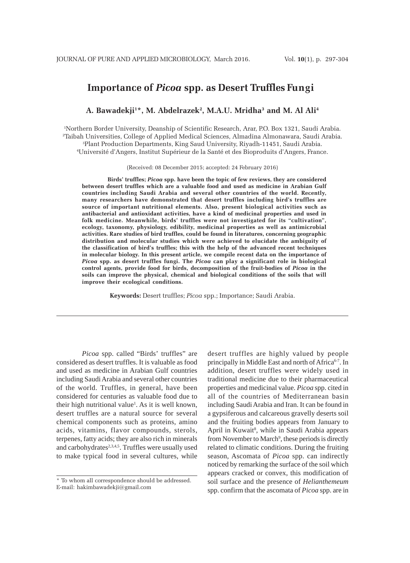# **Importance of** *Picoa* **spp. as Desert Truffles Fungi**

## A. Bawadekji<sup>1</sup>\*, M. Abdelrazek<sup>2</sup>, M.A.U. Mridha<sup>3</sup> and M. Al Ali<sup>4</sup>

1 Northern Border University, Deanship of Scientific Research, Arar, P.O. Box 1321, Saudi Arabia. 2 Taibah Universities, College of Applied Medical Sciences, Almadina Almonawara, Saudi Arabia.

3 Plant Production Departments, King Saud University, Riyadh-11451, Saudi Arabia. 4 Université d'Angers, Institut Supérieur de la Santé et des Bioproduits d'Angers, France.

(Received: 08 December 2015; accepted: 24 February 2016)

**Birds' truffles;** *Picoa* **spp. have been the topic of few reviews, they are considered between desert truffles which are a valuable food and used as medicine in Arabian Gulf countries including Saudi Arabia and several other countries of the world. Recently, many researchers have demonstrated that desert truffles including bird's truffles are source of important nutritional elements. Also, present biological activities such as antibacterial and antioxidant activities, have a kind of medicinal properties and used in folk medicine. Meanwhile, birds' truffles were not investigated for its "cultivation", ecology, taxonomy, physiology, edibility, medicinal properties as well as antimicrobial activities. Rare studies of bird truffles, could be found in literatures, concerning geographic distribution and molecular studies which were achieved to elucidate the ambiguity of the classification of bird's truffles; this with the help of the advanced recent techniques in molecular biology. In this present article, we compile recent data on the importance of** *Picoa* **spp. as desert truffles fungi. The** *Picoa* **can play a significant role in biological control agents, provide food for birds, decomposition of the fruit-bodies of** *Picoa* **in the soils can improve the physical, chemical and biological conditions of the soils that will improve their ecological conditions.**

**Keywords:** Desert truffles; *Picoa* spp.; Importance; Saudi Arabia.

*Picoa* spp. called "Birds' truffles" are considered as desert truffles. It is valuable as food and used as medicine in Arabian Gulf countries including Saudi Arabia and several other countries of the world. Truffles, in general, have been considered for centuries as valuable food due to their high nutritional value<sup>1</sup>. As it is well known, desert truffles are a natural source for several chemical components such as proteins, amino acids, vitamins, flavor compounds, sterols, terpenes, fatty acids; they are also rich in minerals and carbohydrates<sup>2,3,4,5</sup>. Truffles were usually used to make typical food in several cultures, while

desert truffles are highly valued by people principally in Middle East and north of Africa<sup>6-7</sup>. In addition, desert truffles were widely used in traditional medicine due to their pharmaceutical properties and medicinal value. *Picoa* spp. cited in all of the countries of Mediterranean basin including Saudi Arabia and Iran. It can be found in a gypsiferous and calcareous gravelly deserts soil and the fruiting bodies appears from January to April in Kuwait<sup>8</sup>, while in Saudi Arabia appears from November to March<sup>9</sup>, these periods is directly related to climatic conditions. During the fruiting season, Ascomata of *Picoa* spp. can indirectly noticed by remarking the surface of the soil which appears cracked or convex, this modification of soil surface and the presence of *Helianthemeum* spp. confirm that the ascomata of *Picoa* spp. are in

<sup>\*</sup> To whom all correspondence should be addressed. E-mail: hakimbawadekji@gmail.com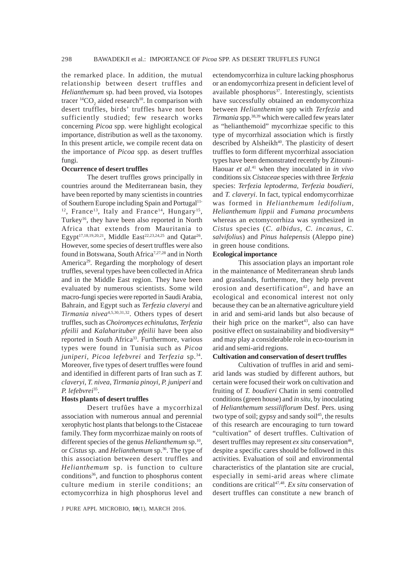the remarked place. In addition, the mutual relationship between desert truffles and *Helianthemum* sp. had been proved, via Isotopes tracer  $^{14}CO_2$  aided research<sup>10</sup>. In comparison with desert truffles, birds' truffles have not been sufficiently studied; few research works concerning *Picoa* spp. were highlight ecological importance, distribution as well as the taxonomy. In this present article, we compile recent data on the importance of *Picoa* spp. as desert truffles fungi.

#### **Occurrence of desert truffles**

The desert truffles grows principally in countries around the Mediterranean basin, they have been reported by many scientists in countries of Southern Europe including Spain and Portugal<sup>11-</sup> <sup>12</sup>, France<sup>13</sup>, Italy and France<sup>14</sup>, Hungary<sup>15</sup>, Turkey<sup>16</sup>, they have been also reported in North Africa that extends from Mauritania to Egypt<sup>17,18,19,20,21</sup>, Middle East<sup>22,23,24,25</sup> and Qatar<sup>26</sup>. However, some species of desert truffles were also found in Botswana, South Africa<sup>7,27,28</sup> and in North America29. Regarding the morphology of desert truffles, several types have been collected in Africa and in the Middle East region. They have been evaluated by numerous scientists. Some wild macro-fungi species were reported in Saudi Arabia, Bahrain, and Egypt such as *Terfezia claveryi* and *Tirmania nivea*4,5,30,31,32. Others types of desert truffles, such as *Choiromyces echinulatus*, *Terfezia pfeilii* and *Kalaharituber pfeilii* have been also reported in South Africa<sup>33</sup>. Furthermore, various types were found in Tunisia such as *Picoa juniperi, Picoa lefebvrei* and *Terfezia* sp.34. Moreover, five types of desert truffles were found and identified in different parts of Iran such as *T. claveryi*, *T. nivea*, *Tirmania pinoyi*, *P. juniperi* and *P. lefebvrei*35.

## **Hosts plants of desert truffles**

Desert trufûes have a mycorrhizal association with numerous annual and perennial xerophytic host plants that belongs to the Cistaceae family. They form mycorrhizae mainly on roots of different species of the genus *Helianthemum* sp.<sup>10</sup>, or *Cistus* sp. and *Helianthemum* sp.36. The type of this association between desert truffles and *Helianthemum* sp. is function to culture conditions36, and function to phosphorus content culture medium in sterile conditions; an ectomycorrhiza in high phosphorus level and

ectendomycorrhiza in culture lacking phosphorus or an endomycorrhiza present in deficient level of available phosphorus<sup>37</sup>. Interestingly, scientists have successfully obtained an endomycorrhiza between *Helianthemim* spp with *Terfezia* and *Tirmania* spp.38,39 which were called few years later as "helianthemoid" mycorrhizae specific to this type of mycorrhizal association which is firstly described by Alsheikh<sup>40</sup>. The plasticity of desert truffles to form different mycorrhizal association types have been demonstrated recently by Zitouni-Haouar *et al*. 41 when they inoculated in *in vivo* conditions six *Cistaceae* species with three *Terfezia* species: *Terfezia leptoderma, Terfezia boudieri,* and *T. claveryi*. In fact, typical endomycorrhizae was formed in *Helianthemum ledifolium, Helianthemum lippii* and *Fumana procumbens* whereas an ectomycorrhiza was synthesized in *Cistus* species (*C. albidus, C. incanus, C. salvifolius*) and *Pinus halepensis* (Aleppo pine) in green house conditions.

### **Ecological importance**

This association plays an important role in the maintenance of Mediterranean shrub lands and grasslands, furthermore, they help prevent erosion and desertification<sup>42</sup>, and have an ecological and economical interest not only because they can be an alternative agriculture yield in arid and semi-arid lands but also because of their high price on the market<sup>43</sup>, also can have positive effect on sustainability and biodiversity<sup>44</sup> and may play a considerable role in eco-tourism in arid and semi-arid regions.

## **Cultivation and conservation of desert truffles**

Cultivation of truffles in arid and semiarid lands was studied by different authors, but certain were focused their work on cultivation and fruiting of *T. boudieri* Chatin in semi controlled conditions (green house) and *in situ*, by inoculating of *Helianthemum sessiliflorum* Desf. Pers. using two type of soil; gypsy and sandy soil<sup>45</sup>, the results of this research are encouraging to turn toward "cultivation" of desert truffles. Cultivation of desert truffles may represent *ex situ* conservation<sup>46</sup>, despite a specific cares should be followed in this activities. Evaluation of soil and environmental characteristics of the plantation site are crucial, especially in semi-arid areas where climate conditions are critical<sup>47,48</sup>. Ex situ conservation of desert truffles can constitute a new branch of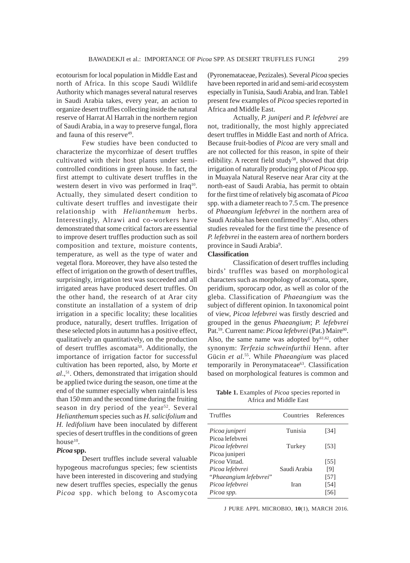ecotourism for local population in Middle East and north of Africa. In this scope Saudi Wildlife Authority which manages several natural reserves in Saudi Arabia takes, every year, an action to organize desert truffles collecting inside the natural reserve of Harrat Al Harrah in the northern region of Saudi Arabia, in a way to preserve fungal, flora and fauna of this reserve<sup>49</sup>.

Few studies have been conducted to characterize the mycorrhizae of desert truffles cultivated with their host plants under semicontrolled conditions in green house. In fact, the first attempt to cultivate desert truffles in the western desert in vivo was performed in Iraq<sup>10</sup>. Actually, they simulated desert condition to cultivate desert truffles and investigate their relationship with *Helianthemum* herbs. Interestingly, Alrawi and co-workers have demonstrated that some critical factors are essential to improve desert truffles production such as soil composition and texture, moisture contents, temperature, as well as the type of water and vegetal flora. Moreover, they have also tested the effect of irrigation on the growth of desert truffles, surprisingly, irrigation test was succeeded and all irrigated areas have produced desert truffles. On the other hand, the research of at Arar city constitute an installation of a system of drip irrigation in a specific locality; these localities produce, naturally, desert truffles. Irrigation of these selected plots in autumn has a positive effect, qualitatively an quantitatively, on the production of desert truffles ascomata<sup>50</sup>. Additionally, the importance of irrigation factor for successful cultivation has been reported, also, by Morte *et* al.,<sup>51</sup>. Others, demonstrated that irrigation should be applied twice during the season, one time at the end of the summer especially when rainfall is less than 150 mm and the second time during the fruiting season in dry period of the year<sup>52</sup>. Several *Helianthemum* species such as *H. salicifolium* and *H. ledifolium* have been inoculated by different species of desert truffles in the conditions of green house<sup>10</sup>.

## *Picoa* **spp.**

Desert truffles include several valuable hypogeous macrofungus species; few scientists have been interested in discovering and studying new desert truffles species, especially the genus *Picoa* spp. which belong to Ascomycota

(Pyronemataceae, Pezizales). Several *Picoa* species have been reported in arid and semi-arid ecosystem especially in Tunisia, Saudi Arabia, and Iran. Table1 present few examples of *Picoa* species reported in Africa and Middle East.

Actually, *P. juniperi* and *P. lefebvrei* are not, traditionally, the most highly appreciated desert truffles in Middle East and north of Africa. Because fruit-bodies of *Picoa* are very small and are not collected for this reason, in spite of their edibility. A recent field study<sup>58</sup>, showed that drip irrigation of naturally producing plot of *Picoa* spp. in Muayala Natural Reserve near Arar city at the north-east of Saudi Arabia, has permit to obtain for the first time of relatively big ascomata of *Picoa* spp. with a diameter reach to 7.5 cm. The presence of *Phaeangium lefebvrei* in the northern area of Saudi Arabia has been confirmed by<sup>57</sup>. Also, others studies revealed for the first time the presence of *P. lefebvrei* in the eastern area of northern borders province in Saudi Arabia<sup>9</sup>.

## **Classification**

Classification of desert truffles including birds' truffles was based on morphological characters such as morphology of ascomata, spore, peridium, sporocarp odor, as well as color of the gleba. Classification of *Phaeangium* was the subject of different opinion. In taxonomical point of view, *Picoa lefebvrei* was firstly descried and grouped in the genus *Phaeangium*; *P. lefebvrei* Pat.<sup>59</sup>. Current name: *Picoa lefebvrei* (Pat.) Maire<sup>60</sup>. Also, the same name was adopted by $61,62$ , other synonym: *Terfezia schweinfurthii* Henn. after Gücin *et al*. 55. While *Phaeangium* was placed temporarily in Peronymataceae<sup>63</sup>. Classification based on morphological features is common and

**Table 1.** Examples of *Picoa* species reported in Africa and Middle East

| Truffles               | Countries    | References |
|------------------------|--------------|------------|
| Picoa juniperi         | Tunisia      | [34]       |
| Picoa lefebvrei        |              |            |
| Picoa lefebvrei        | Turkey       | [53]       |
| Picoa juniperi         |              |            |
| Picoa Vittad.          |              | [55]       |
| Picoa lefebvrei        | Saudi Arabia | [9]        |
| "Phaeangium lefebvrei" |              | [57]       |
| Picoa lefebvrei        | Iran         | [54]       |
| Picoa spp.             |              | [56]       |
|                        |              |            |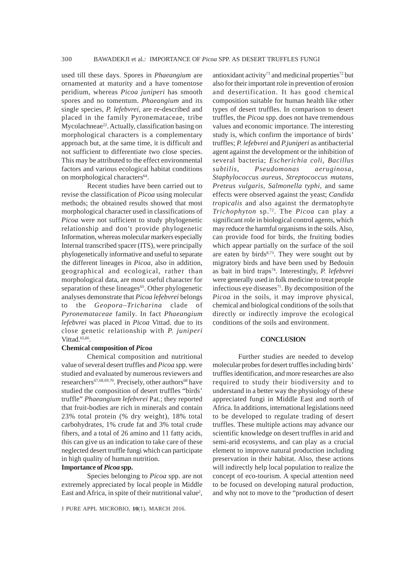used till these days. Spores in *Phaeangium* are ornamented at maturity and a have tomentose peridium, whereas *Picoa juniperi* has smooth spores and no tomentum. *Phaeangium* and its single species, *P. lefebvrei*, are re-described and placed in the family Pyronemataceae, tribe Mycolachneae<sup>22</sup>. Actually, classification basing on morphological characters is a complementary approach but, at the same time, it is difficult and not sufficient to differentiate two close species. This may be attributed to the effect environmental factors and various ecological habitat conditions on morphological characters<sup>64</sup>.

Recent studies have been carried out to revise the classification of *Picoa* using molecular methods; the obtained results showed that most morphological character used in classifications of *Picoa* were not sufficient to study phylogenetic relationship and don't provide phylogenetic Information, whereas molecular markers especially Internal transcribed spacer (ITS), were principally phylogenetically informative and useful to separate the different lineages in *Picoa*, also in addition, geographical and ecological, rather than morphological data, are most useful character for separation of these lineages<sup>65</sup>. Other phylogenetic analyses demonstrate that *Picoa lefebvrei* belongs to the *Geopora–Tricharina* clade of *Pyronemataceae* family. In fact *Phaeangium lefebvrei* was placed in *Picoa* Vittad. due to its close genetic relationship with *P. juniperi* Vittad.<sup>65,66</sup>.

## **Chemical composition of** *Picoa*

Chemical composition and nutritional value of several desert truffles and *Picoa* spp. were studied and evaluated by numerous reviewers and researchers<sup>67,68,69,70</sup>. Precisely, other authors<sup>68</sup> have studied the composition of desert truffles "birds' truffle" *Phaeangium lefebvrei* Pat.; they reported that fruit-bodies are rich in minerals and contain 23% total protein (% dry weight), 18% total carbohydrates, 1% crude fat and 3% total crude fibers, and a total of 26 amino and 11 fatty acids, this can give us an indication to take care of these neglected desert truffle fungi which can participate in high quality of human nutrition.

## **Importance of** *Picoa* **spp.**

Species belonging to *Picoa* spp. are not extremely appreciated by local people in Middle East and Africa, in spite of their nutritional value<sup>2</sup>,

J PURE APPL MICROBIO*,* **10**(1), MARCH 2016.

antioxidant activity<sup>71</sup> and medicinal properties<sup>72</sup> but also for their important role in prevention of erosion and desertification. It has good chemical composition suitable for human health like other types of desert truffles. In comparison to desert truffles, the *Picoa* spp. does not have tremendous values and economic importance. The interesting study is, which confirm the importance of birds' truffles; *P. lefebvrei* and *P.juniperi* as antibacterial agent against the development or the inhibition of several bacteria; *Escherichia coli*, *Bacillus subtilis*, *Pseudomonas aeruginosa*, *Staphylococcus aureus*, *Streptococcus mutans*, *Preteus vulgaris*, *Salmonella typhi*, and same effects were observed against the yeast; *Candida tropicalis* and also against the dermatophyte *Trichophyton* sp.72. The *Picoa* can play a significant role in biological control agents, which may reduce the harmful organisms in the soils. Also, can provide food for birds, the fruiting bodies which appear partially on the surface of the soil are eaten by birds<sup>8,73</sup>. They were sought out by migratory birds and have been used by Bedouin as bait in bird traps74. Interestingly, *P. lefebvrei* were generally used in folk medicine to treat people infectious eye diseases $71$ . By decomposition of the *Picoa* in the soils, it may improve physical, chemical and biological conditions of the soils that directly or indirectly improve the ecological conditions of the soils and environment.

## **CONCLUSION**

Further studies are needed to develop molecular probes for desert truffles including birds' truffles identification, and more researches are also required to study their biodiversity and to understand in a better way the physiology of these appreciated fungi in Middle East and north of Africa. In additions, international legislations need to be developed to regulate trading of desert truffles. These multiple actions may advance our scientific knowledge on desert truffles in arid and semi-arid ecosystems, and can play as a crucial element to improve natural production including preservation in their habitat. Also, these actions will indirectly help local population to realize the concept of eco-tourism. A special attention need to be focused on developing natural production, and why not to move to the "production of desert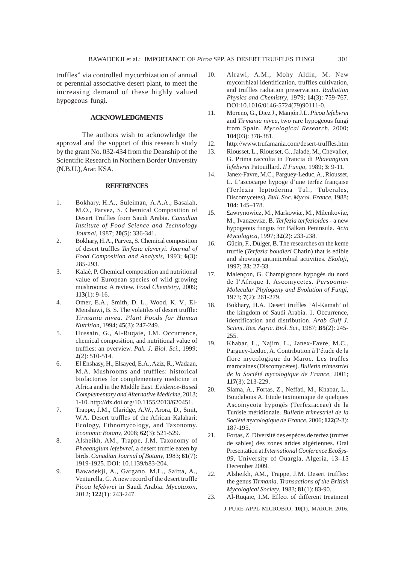truffles" via controlled mycorrhization of annual or perennial associative desert plant, to meet the increasing demand of these highly valued hypogeous fungi.

## **ACKNOWLEDGMENTS**

The authors wish to acknowledge the approval and the support of this research study by the grant No. 032-434 from the Deanship of the Scientific Research in Northern Border University (N.B.U.), Arar, KSA.

#### **REFERENCES**

- 1. Bokhary, H.A., Suleiman, A.A.A., Basalah, M.O., Parvez, S. Chemical Composition of Desert Truffles from Saudi Arabia. *Canadian Institute of Food Science and Technology Journal*, 1987; **20**(5): 336-341.
- 2. Bokhary, H.A., Parvez, S. Chemical composition of desert truffles *Terfezia claveryi*. *Journal of Food Composition and Analysis*, 1993; **6**(3): 285-293.
- 3. Kalaè, P. Chemical composition and nutritional value of European species of wild growing mushrooms: A review. *Food Chemistry*, 2009; **113**(1): 9-16.
- 4. Omer, E.A., Smith, D. L., Wood, K. V., El-Menshawi, B. S. The volatiles of desert truffle: *Tirmania nivea*. *Plant Foods for Human Nutrition*, 1994; **45**(3): 247-249.
- 5. Hussain, G., Al-Ruqaie, I.M. Occurrence, chemical composition, and nutritional value of truffles: an overview. *Pak. J. Biol. Sci*., 1999; **2**(2): 510-514.
- 6. El Enshasy, H., Elsayed, E.A., Aziz, R., Wadaan, M.A. Mushrooms and truffles: historical biofactories for complementary medicine in Africa and in the Middle East. *Evidence-Based Complementary and Alternative Medicine*, 2013; 1-10. http://dx.doi.org/10.1155/2013/620451.
- 7. Trappe, J.M., Claridge, A.W., Arora, D., Smit, W.A. Desert truffles of the African Kalahari: Ecology, Ethnomycology, and Taxonomy. *Economic Botany*, 2008; **62**(3): 521-529.
- 8. Alsheikh, AM., Trappe, J.M. Taxonomy of *Phaeangium lefebvrei*, a desert truffle eaten by birds. *Canadian Journal of Botany*, 1983; **61**(7): 1919-1925. DOI: 10.1139/b83-204.
- 9. Bawadekji, A., Gargano, M.L., Saitta, A., Venturella, G. A new record of the desert truffle *Picoa lefebvrei* in Saudi Arabia. *Mycotaxon*, 2012; **122**(1): 243-247.
- 10. Alrawi, A.M., Mohy Aldin, M. New mycorrhizal identification, truffles cultivation, and truffles radiation preservation. *Radiation Physics and Chemistry*, 1979; **14**(3): 759-767. DOI:10.1016/0146-5724(79)90111-0.
- 11. Moreno, G., Diez J., Manjón J.L. *Picoa lefebvrei* and *Tirmania nivea*, two rare hypogeous fungi from Spain. *Mycological Research*, 2000; **104**(03): 378-381.
- 12. http://www.trufamania.com/desert-truffles.htm
- 13. Riousset, L., Riousset, G., Jalade, M., Chevalier, G. Prima raccolta in Francia di *Phaeangium lefebvrei* Patouillard. *Il Fungo*, 1989; **3**: 9-11.
- 14. Janex-Favre, M.C., Parguey-Leduc, A., Riousset, L. L'ascocarpe hypoge d'une terfez française (Terfezia leptoderma Tul., Tuberales, Discomycetes). *Bull. Soc. Mycol. France*, 1988; **104**: 145–178.
- 15. £awrynowicz, M., Markowiæ, M., Milenkoviæ, M., Ivanæeviæ, B. *Terfezia terfezioides* - a new hypogeous fungus for Balkan Peninsula. *Acta Mycologica*, 1997; **32**(2): 233-238.
- 16. Gücin, F., Dülger, B. The researches on the keme truffle (*Terfezia boudieri* Chatin) that is edible and showing antimicrobial activities. *Ekoloji*, 1997; **23**: 27-33.
- 17. Malençon, G. Champignons hypogés du nord de l'Afrique I. Ascomycetes. *Persoonia-Molecular Phylogeny and Evolution of Fungi*, 1973; **7**(2): 261-279.
- 18. Bokhary, H.A. Desert truffles 'Al-Kamah' of the kingdom of Saudi Arabia. 1. Occurrence, identification and distribution. *Arab Gulf J. Scient. Res. Agric. Biol. Sci*., 1987; **B5**(2): 245- 255.
- 19. Khabar, L., Najim, L., Janex-Favre, M.C., Parguey-Leduc, A. Contribution à l'étude de la flore mycologique du Maroc. Les truffes marocaines (Discomycètes). *Bulletin trimestriel de la Société mycologique de France*, 2001; **117**(3): 213-229.
- 20. Slama, A., Fortas, Z., Neffati, M., Khabar, L., Boudabous A. Etude taxinomique de quelques Ascomycota hypogés (Terfeziaceae) de la Tunisie méridionale. *Bulletin trimestriel de la Société mycologique de France*, 2006; **122**(2-3): 187-195.
- 21. Fortas, Z. Diversité des espèces de terfez (truffes de sables) des zones arides algériennes. Oral Presentation at *International Conference EcoSys-09*, University of Ouargla, Algeria, 13–15 December 2009.
- 22. Alsheikh, AM., Trappe, J.M. Desert truffles: the genus *Tirmania*. *Transactions of the British Mycological Society*, 1983; **81**(1): 83-90.
- 23. Al-Ruqaie, I.M. Effect of different treatment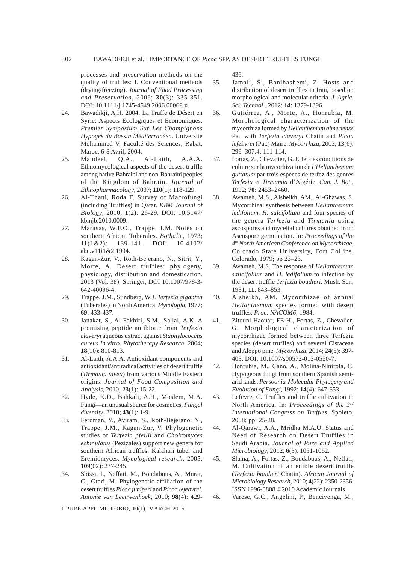## 302 BAWADEKJI et al.: IMPORTANCE OF *Picoa* SPP. AS DESERT TRUFFLES FUNGI

processes and preservation methods on the quality of truffles: I. Conventional methods (drying/freezing). *Journal of Food Processing and Preservation*, 2006; **30**(3): 335-351. DOI: 10.1111/j.1745-4549.2006.00069.x.

- 24. Bawadikji, A.H. 2004. La Truffe de Désert en Syrie: Aspects Ecologiques et Economiques. *Premier Symposium Sur Les Champignons Hypogés du Bassin Méditerranéen*. Université Mohammed V, Faculté des Sciences, Rabat, Maroc. 6-8 Avril, 2004.
- 25. Mandeel, Q.A., Al-Laith, A.A.A. Ethnomycological aspects of the desert truffle among native Bahraini and non-Bahraini peoples of the Kingdom of Bahrain. *Journal of Ethnopharmacology*, 2007; **110**(1): 118-129.
- 26. Al-Thani, Roda F. Survey of Macrofungi (including Truffles) in Qatar. *KBM Journal of Biology*, 2010; **1**(2): 26-29. DOI: 10.5147/ kbmjb.2010.0009.
- 27. Marasas, W.F.O., Trappe, J.M. Notes on southern African Tuberales. *Bothali*a, 1973; **11**(1&2): 139-141. DOI: 10.4102/ abc.v11i1&2.1994.
- 28. Kagan-Zur, V., Roth-Bejerano, N., Sitrit, Y., Morte, A. Desert truffles: phylogeny, physiology, distribution and domestication. 2013 (Vol. 38). Springer, DOI 10.1007/978-3- 642-40096-4.
- 29. Trappe, J.M., Sundberg, W.J. *Terfezia gigantea* (Tuberales) in North America. *Mycologia*, 1977; **69**: 433-437.
- 30. Janakat, S., Al-Fakhiri, S.M., Sallal, A.K. A promising peptide antibiotic from *Terfezia claveryi* aqueous extract against *Staphylococcus aureus In vitro*. *Phytotherapy Research*, 2004; **18**(10): 810-813.
- 31. Al-Laith, A.A.A. Antioxidant components and antioxidant/antiradical activities of desert truffle (*Tirmania nivea*) from various Middle Eastern origins. *Journal of Food Composition and Analysis*, 2010; **23**(1): 15-22.
- 32. Hyde, K.D., Bahkali, A.H., Moslem, M.A. Fungi—an unusual source for cosmetics. *Fungal diversity*, 2010; **43**(1): 1-9.
- 33. Ferdman, Y., Aviram, S., Roth-Bejerano, N., Trappe, J.M., Kagan-Zur, V. Phylogenetic studies of *Terfezia pfeilii* and *Choiromyces echinulatus* (Pezizales) support new genera for southern African truffles: Kalahari tuber and Eremiomyces. *Mycological research*, 2005; **109**(02): 237-245.
- 34. Sbissi, I., Neffati, M., Boudabous, A., Murat, C., Gtari, M. Phylogenetic affiliation of the desert truffles *Picoa juniperi* and *Picoa lefebvrei*. *Antonie van Leeuwenhoek*, 2010; **98**(4): 429-

436.

- 35. Jamali, S., Banihashemi, Z. Hosts and distribution of desert truffles in Iran, based on morphological and molecular criteria. *J. Agric. Sci. Technol*., 2012; **14**: 1379-1396.
- 36. Gutiérrez, A., Morte, A., Honrubia, M. Morphological characterization of the mycorrhiza formed by *Helianthemum almeriense* Pau with *Terfezia claveryi* Chatin and *Picoa lefebvrei* (Pat.) Maire. *Mycorrhiza*, 2003; **13**(6): 299–307.4: 111-114.
- 37. Fortas, Z., Chevalier, G. Effet des conditions de culture sur la mycorhization de *l'Helianthemum guttatum* par trois espèces de terfez des genres *Terfezia* et *Tirmamia* d'Algérie. *Can. J. Bot.*, 1992; **70**: 2453–2460.
- 38. Awameh, M.S., Alsheikh, AM., Al-Ghawas, S. Mycorrhizal synthesis between *Helianthemum ledifolium*, *H. salcifolium* and four species of the genera *Terfezia* and *Tirmania* using ascospores and mycelial cultures obtained from Ascospore germination. In: *Proceedings of the 4th North American Conference on Mycorrhizae*, Colorado State University, Fort Collins, Colorado, 1979; pp 23–23.
- 39. Awameh, M.S. The response of *Helianthemum salicifolium* and *H. ledifolium* to infection by the desert truffle *Terfezia boudieri*. Mush. Sci., 1981; **11**: 843–853.
- 40. Alsheikh, AM. Mycorrhizae of annual *Helianthemum* species formed with desert truffles. *Proc. NACOM6*, 1984.
- 41. Zitouni-Haouar, FE-H., Fortas, Z., Chevalier, G. Morphological characterization of mycorrhizae formed between three Terfezia species (desert truffles) and several Cistaceae and Aleppo pine. *Mycorrhiza*, 2014; **24**(5): 397- 403. DOI: 10.1007/s00572-013-0550-7.
- 42. Honrubia, M., Cano, A., Molina-Ninirola, C. Hypogeous fungi from southern Spanish semiarid lands. *Persoonia-Molecular Phylogeny and Evolution of Fungi*, 1992; **14**(4): 647-653.
- 43. Lefevre, C. Truffles and truffle cultivation in North America. In: *Proceedings of the 3rd International Congress on Truffles*, Spoleto, 2008; pp: 25-28.
- 44. Al-Qarawi, A.A., Mridha M.A.U. Status and Need of Research on Desert Truffles in Saudi Arabia. *Journal of Pure and Applied Microbiology*, 2012; **6**(3): 1051-1062.
- 45. Slama, A., Fortas, Z., Boudabous, A., Neffati, M. Cultivation of an edible desert truffle (*Terfezia boudieri* Chatin). *African Journal of Microbiology Research*, 2010; **4**(22): 2350-2356. ISSN 1996-0808 ©2010 Academic Journals.

46. Varese, G.C., Angelini, P., Bencivenga, M.,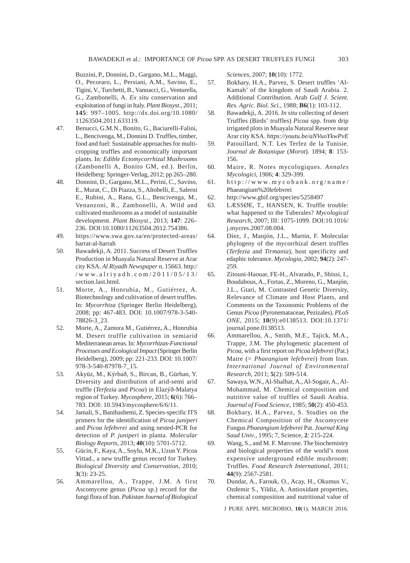Buzzini, P., Donnini, D., Gargano, M.L., Maggi, O., Pecoraro, L., Persiani, A.M., Savino, E., Tigini, V., Turchetti, B., Vannacci, G., Venturella, G., Zambonelli, A. *Ex situ* conservation and exploitation of fungi in Italy. *Plant Biosyst*., 2011; **145**: 997–1005. http://dx.doi.org/10.1080/ 11263504.2011.633119.

- 47. Benucci, G.M.N., Bonito, G., Baciarelli-Falini, L., Bencivenga, M., Donnini D. Truffles, timber, food and fuel: Sustainable approaches for multicropping truffles and economically important plants. In: *Edible Ectomycorrhizal Mushrooms* (Zambonelli A, Bonito GM, ed.). Berlin, Heidelberg: Springer-Verlag, 2012; pp 265–280.
- 48. Donnini, D., Gargano, M.L., Perini, C., Savino, E., Murat, C., Di Piazza, S., Altobelli, E., Salerni E., Rubini, A., Rana, G.L., Bencivenga, M., Venanzoni, R., Zambonelli, A. Wild and cultivated mushrooms as a model of sustainable development. *Plant Biosyst*., 2013; **147**: 226– 236. DOI:10.1080/11263504.2012.754386.
- 49. https://www.swa.gov.sa/en/protected-areas/ harrat-al-harrah
- 50. Bawadekji, A. 2011. Success of Desert Truffles Production in Muayala Natural Reserve at Arar city KSA. *Al Riyadh Newspaper* n. 15663. http:/ /www.alriyadh.com/2011/05/13/ section.last.html.
- 51. Morte, A., Honrubia, M., Gutiérrez, A. Biotechnology and cultivation of desert truffles. In: *Mycorrhiza* (Springer Berlin Heidelberg), 2008; pp: 467-483. DOI: 10.1007/978-3-540- 78826-3\_23.
- 52. Morte, A., Zamora M., Gutiérrez, A., Honrubia M. Desert truffle cultivation in semiarid Mediterranean areas. In: *Mycorrhizas-Functional Processes and Ecological Impact* (Springer Berlin Heidelberg), 2009; pp: 221-233. DOI: 10.1007/ 978-3-540-87978-7\_15.
- 53. Akyüz, M., Kýrbað, S., Bircan, B., Gürhan, Y. Diversity and distribution of arid-semi arid truffle (*Terfezia* and *Picoa*) in Elazýð-Malatya region of Turkey. *Mycosphere*, 2015; **6**(6): 766– 783. DOI: 10.5943/mycosphere/6/6/11.
- 54. Jamali, S., Banihashemi, Z. Species-specific ITS primers for the identification of *Picoa juniperi* and *Picoa lefebvrei* and using nested-PCR for detection of *P. juniperi* in planta. *Molecular Biology Reports*, 2013; **40**(10): 5701-5712.
- 55. Gücin, F., Kaya, A., Soylu, M.K., Uzun Y. Picoa Vittad., a new truffle genus record for Turkey. *Biological Diversity and Conservation*, 2010; **3**(3): 23-25.
- 56. Ammarellou, A., Trappe, J.M. A first Ascomycete genus (*Picoa* sp.) record for the fungi flora of Iran. *Pakistan Journal of Biological*

*Sciences*, 2007; **10**(10): 1772.

- 57. Bokhary, H.A., Parvez, S. Desert truffles 'Al-Kamah' of the kingdom of Saudi Arabia. 2. Additional Contribution. Arab *Gulf J. Scient. Res. Agric. Biol. Sci.*, 1988; **B6**(1): 103-112.
- 58. Bawadekji, A. 2016. *In situ* collecting of desert Truffles (Birds' truffles) *Picoa* spp. from drip irrigated plots in Muayala Natural Reserve near Arar city KSA. *https://youtu.be/aNVuoYkwPvE*
- 59. Patouillard, N.T. Les Terfez de la Tunisie. *Journal de Botanique* (*Morot*). 1894; **8**: 153- 156.
- 60. Maire, R. Notes mycologiques. *Annales Mycologici*, 1906; **4**: 329-399.
- 61. http://www.mycobank.org/name/ Phaeangium%20lefebvrei
- 62. http://www.gbif.org/species/5258497
- 63. LÆSSØE, T., HANSEN, K. Truffle trouble: what happened to the Tuberales? *Mycological Research*, 2007; III: 1075-1099. DOI:10.1016/ j.mycres.2007.08.004.
- 64. Díez, J., Manjón, J.L., Martin, F. Molecular phylogeny of the mycorrhizal desert truffles (*Terfezia* and *Tirmania*), host specificity and edaphic tolerance. *Mycologia*, 2002; **94**(2): 247- 259.
- 65. Zitouni-Haouar, FE-H., Alvarado, P., Sbissi, I., Boudabous, A., Fortas, Z., Moreno, G., Manjón, J.L., Gtari, M. Contrasted Genetic Diversity, Relevance of Climate and Host Plants, and Comments on the Taxonomic Problems of the Genus *Picoa* (Pyronemataceae, Pezizales). *PLoS ONE*, 2015; **10**(9):e0138513. DOI:10.1371/ journal.pone.0138513.
- 66. Ammarellou, A., Smith, M.E., Tajick, M.A., Trappe, J.M. The phylogenetic placement of *Picoa*, with a first report on *Picoa lefebvrei* (Pat.) Maire (= *Phaeangium lefebvrei*) from Iran. *International Journal of Environmental Research*, 2011; **5**(2): 509-514.
- 67. Sawaya, W.N., Al-Shalhat, A., Al-Sogair, A., Al-Mohammad, M. Chemical composition and nutritive value of truffles of Saudi Arabia. *Journal of Food Science*, 1985; **50**(2): 450-453.
- 68. Bokhary, H.A., Parvez, S. Studies on the Chemical Composition of the Ascomycete Fungus *Phaeangium lefebvrei* Pat. *Journal King Saud Univ*., 1995; 7, Science, **2**: 215-224.
- 69. Wang, S., and M. F. Marcone. The biochemistry and biological properties of the world's most expensive underground edible mushroom: Truffles. *Food Research International*, 2011; **44**(9): 2567-2581.
- 70. Dundar, A., Farouk, O., Acay, H., Okumus V., Ozdemir S., Yildiz, A. Antioxidant properties, chemical composition and nutritional value of